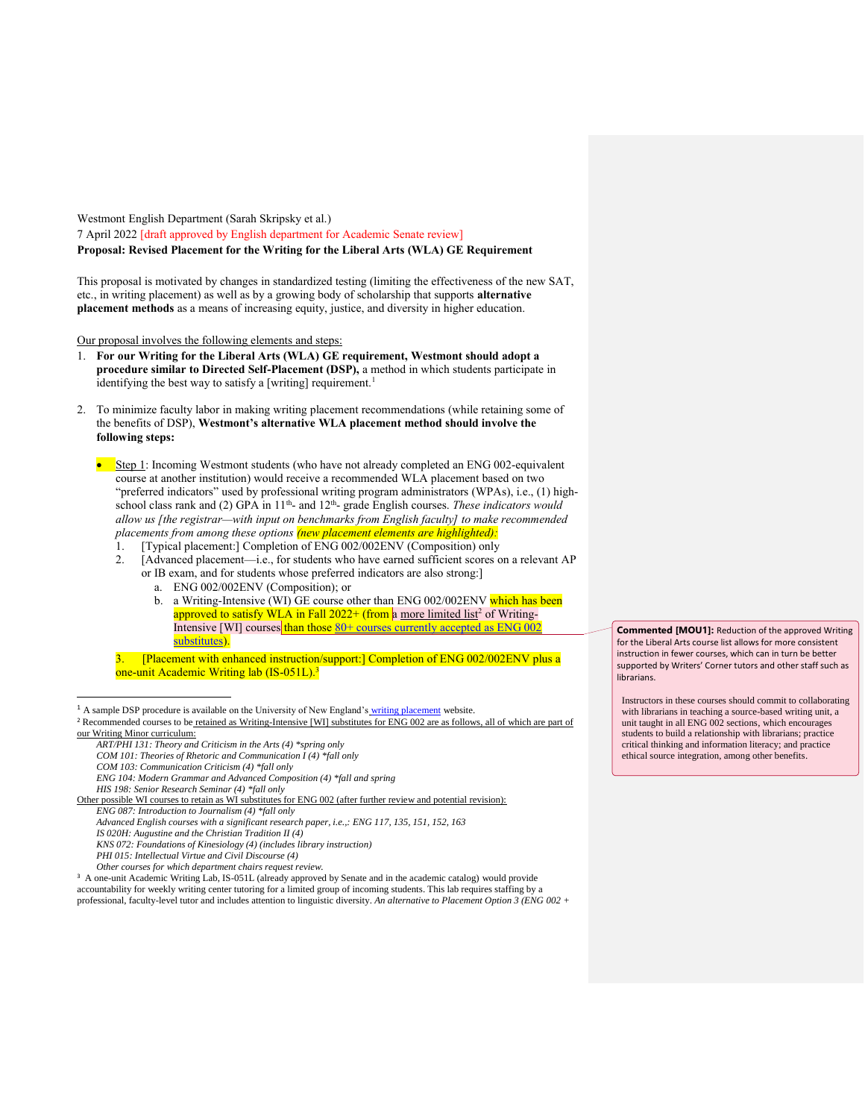Westmont English Department (Sarah Skripsky et al.) 7 April 2022 [draft approved by English department for Academic Senate review] **Proposal: Revised Placement for the Writing for the Liberal Arts (WLA) GE Requirement**

This proposal is motivated by changes in standardized testing (limiting the effectiveness of the new SAT, etc., in writing placement) as well as by a growing body of scholarship that supports **alternative placement methods** as a means of increasing equity, justice, and diversity in higher education.

Our proposal involves the following elements and steps:

- 1. **For our Writing for the Liberal Arts (WLA) GE requirement, Westmont should adopt a procedure similar to Directed Self-Placement (DSP),** a method in which students participate in identifying the best way to satisfy a [writing] requirement.<sup>1</sup>
- 2. To minimize faculty labor in making writing placement recommendations (while retaining some of the benefits of DSP), **Westmont's alternative WLA placement method should involve the following steps:**
	- Step 1: Incoming Westmont students (who have not already completed an ENG 002-equivalent course at another institution) would receive a recommended WLA placement based on two "preferred indicators" used by professional writing program administrators (WPAs), i.e., (1) highschool class rank and  $(2)$  GPA in  $11<sup>th</sup>$  and  $12<sup>th</sup>$  grade English courses. *These indicators would allow us [the registrar—with input on benchmarks from English faculty] to make recommended placements from among these options (new placement elements are highlighted):*
		- 1. [Typical placement:] Completion of ENG 002/002ENV (Composition) only
		- 2. [Advanced placement—i.e., for students who have earned sufficient scores on a relevant AP or IB exam, and for students whose preferred indicators are also strong:]
			- a. ENG 002/002ENV (Composition); or
			- b. a Writing-Intensive (WI) GE course other than ENG 002/002ENV which has been approved to satisfy WLA in Fall  $2022+$  (from a more limited list<sup>2</sup> of Writing-Intensive [WI] courses than those  $80+$  courses currently accepted as ENG 002 [substitutes\)](https://www.westmont.edu/sites/default/files/2022-03/GE%20Courses%203-28-2022.pdf).
		- 3. [Placement with enhanced instruction/support:] Completion of ENG 002/002ENV plus a one-unit Academic Writing lab (IS-051L).<sup>3</sup>

 $<sup>1</sup>$  A sample DSP procedure is available on the University of New England's [writing placement](https://unewritingplacementchallenge.wordpress.com/author/writingplacement/) website.</sup>

- *ART/PHI 131: Theory and Criticism in the Arts (4) \*spring only*
- *COM 101: Theories of Rhetoric and Communication I (4) \*fall only*
- *COM 103: Communication Criticism (4) \*fall only*

 $\overline{a}$ 

*ENG 104: Modern Grammar and Advanced Composition (4) \*fall and spring*

*HIS 198: Senior Research Seminar (4) \*fall only*

Other possible WI courses to retain as WI substitutes for ENG 002 (after further review and potential revision): *ENG 087: Introduction to Journalism (4) \*fall only*

- *IS 020H: Augustine and the Christian Tradition II (4)*
- *KNS 072: Foundations of Kinesiology (4) (includes library instruction) PHI 015: Intellectual Virtue and Civil Discourse (4)*
- *Other courses for which department chairs request review.*

<sup>3</sup> A one-unit Academic Writing Lab, IS-051L (already approved by Senate and in the academic catalog) would provide accountability for weekly writing center tutoring for a limited group of incoming students. This lab requires staffing by a professional, faculty-level tutor and includes attention to linguistic diversity. *An alternative to Placement Option 3 (ENG 002 +*  **Commented [MOU1]:** Reduction of the approved Writing for the Liberal Arts course list allows for more consistent instruction in fewer courses, which can in turn be better supported by Writers' Corner tutors and other staff such as librarians.

Instructors in these courses should commit to collaborating with librarians in teaching a source-based writing unit, a unit taught in all ENG 002 sections, which encourages students to build a relationship with librarians; practice critical thinking and information literacy; and practice ethical source integration, among other benefits.

<sup>&</sup>lt;sup>2</sup> Recommended courses to be retained as Writing-Intensive [WI] substitutes for ENG 002 are as follows, all of which are part of our Writing Minor curriculum:

*Advanced English courses with a significant research paper, i.e.,: ENG 117, 135, 151, 152, 163*